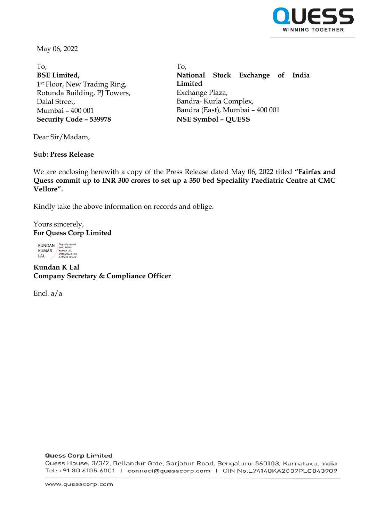

May 06, 2022

To, **BSE Limited,** 1st Floor, New Trading Ring, Rotunda Building, PJ Towers, Dalal Street, Mumbai – 400 001 **Security Code – 539978 NSE Symbol – QUESS**

To, **National Stock Exchange of India Limited** Exchange Plaza, Bandra- Kurla Complex, Bandra (East), Mumbai – 400 001

Dear Sir/Madam,

## **Sub: Press Release**

We are enclosing herewith a copy of the Press Release dated May 06, 2022 titled **"Fairfax and Quess commit up to INR 300 crores to set up a 350 bed Speciality Paediatric Centre at CMC Vellore".**

Kindly take the above information on records and oblige.

## Yours sincerely, **For Quess Corp Limited**

KUNDAN KUMAR LAL Digitally signed by KUNDAN KUMAR LAL Date: 2022.05.06 17:06:43 +05'30'

**Kundan K Lal Company Secretary & Compliance Officer**

Encl. a/a

#### **Quess Corp Limited**

Quess House, 3/3/2, Bellandur Gate, Sarjapur Road, Bengaluru-560103, Karnataka, India Tel: +91 80 6105 6001 | connect@quesscorp.com | CIN No.L74140KA2007PLC043909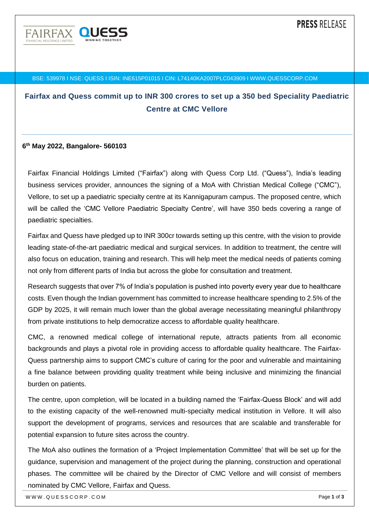

#### BSE: 539978 I NSE: QUESS I ISIN: INE615P01015 I CIN: L74140KA2007PLC043909 I WWW.QUESSCORP.COM

# **Fairfax and Quess commit up to INR 300 crores to set up a 350 bed Speciality Paediatric Centre at CMC Vellore**

#### **6 th May 2022, Bangalore- 560103**

Fairfax Financial Holdings Limited ("Fairfax") along with Quess Corp Ltd. ("Quess"), India's leading business services provider, announces the signing of a MoA with Christian Medical College ("CMC"), Vellore, to set up a paediatric specialty centre at its Kannigapuram campus. The proposed centre, which will be called the 'CMC Vellore Paediatric Specialty Centre', will have 350 beds covering a range of paediatric specialties.

Fairfax and Quess have pledged up to INR 300cr towards setting up this centre, with the vision to provide leading state-of-the-art paediatric medical and surgical services. In addition to treatment, the centre will also focus on education, training and research. This will help meet the medical needs of patients coming not only from different parts of India but across the globe for consultation and treatment.

Research suggests that over 7% of India's population is pushed into poverty every year due to healthcare costs. Even though the Indian government has committed to increase healthcare spending to 2.5% of the GDP by 2025, it will remain much lower than the global average necessitating meaningful philanthropy from private institutions to help democratize access to affordable quality healthcare.

CMC, a renowned medical college of international repute, attracts patients from all economic backgrounds and plays a pivotal role in providing access to affordable quality healthcare. The Fairfax-Quess partnership aims to support CMC's culture of caring for the poor and vulnerable and maintaining a fine balance between providing quality treatment while being inclusive and minimizing the financial burden on patients.

The centre, upon completion, will be located in a building named the 'Fairfax-Quess Block' and will add to the existing capacity of the well-renowned multi-specialty medical institution in Vellore. It will also support the development of programs, services and resources that are scalable and transferable for potential expansion to future sites across the country.

The MoA also outlines the formation of a 'Project Implementation Committee' that will be set up for the guidance, supervision and management of the project during the planning, construction and operational phases. The committee will be chaired by the Director of CMC Vellore and will consist of members nominated by CMC Vellore, Fairfax and Quess.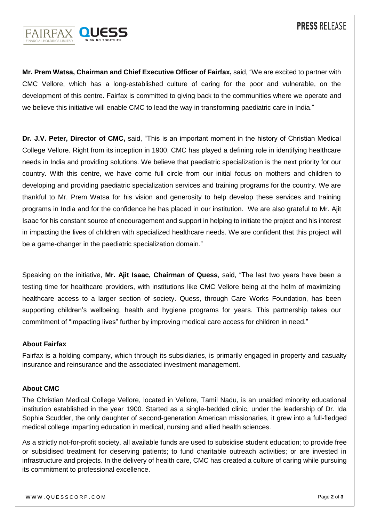

**Mr. Prem Watsa, Chairman and Chief Executive Officer of Fairfax,** said, "We are excited to partner with CMC Vellore, which has a long-established culture of caring for the poor and vulnerable, on the development of this centre. Fairfax is committed to giving back to the communities where we operate and we believe this initiative will enable CMC to lead the way in transforming paediatric care in India."

**Dr. J.V. Peter, Director of CMC,** said, "This is an important moment in the history of Christian Medical College Vellore. Right from its inception in 1900, CMC has played a defining role in identifying healthcare needs in India and providing solutions. We believe that paediatric specialization is the next priority for our country. With this centre, we have come full circle from our initial focus on mothers and children to developing and providing paediatric specialization services and training programs for the country. We are thankful to Mr. Prem Watsa for his vision and generosity to help develop these services and training programs in India and for the confidence he has placed in our institution. We are also grateful to Mr. Ajit Isaac for his constant source of encouragement and support in helping to initiate the project and his interest in impacting the lives of children with specialized healthcare needs. We are confident that this project will be a game-changer in the paediatric specialization domain."

Speaking on the initiative, **Mr. Ajit Isaac, Chairman of Quess**, said, "The last two years have been a testing time for healthcare providers, with institutions like CMC Vellore being at the helm of maximizing healthcare access to a larger section of society. Quess, through Care Works Foundation, has been supporting children's wellbeing, health and hygiene programs for years. This partnership takes our commitment of "impacting lives" further by improving medical care access for children in need."

## **About Fairfax**

Fairfax is a holding company, which through its subsidiaries, is primarily engaged in property and casualty insurance and reinsurance and the associated investment management.

## **About CMC**

The Christian Medical College Vellore, located in Vellore, Tamil Nadu, is an unaided minority educational institution established in the year 1900. Started as a single-bedded clinic, under the leadership of Dr. Ida Sophia Scudder, the only daughter of second-generation American missionaries, it grew into a full-fledged medical college imparting education in medical, nursing and allied health sciences.

As a strictly not-for-profit society, all available funds are used to subsidise student education; to provide free or subsidised treatment for deserving patients; to fund charitable outreach activities; or are invested in infrastructure and projects. In the delivery of health care, CMC has created a culture of caring while pursuing its commitment to professional excellence.